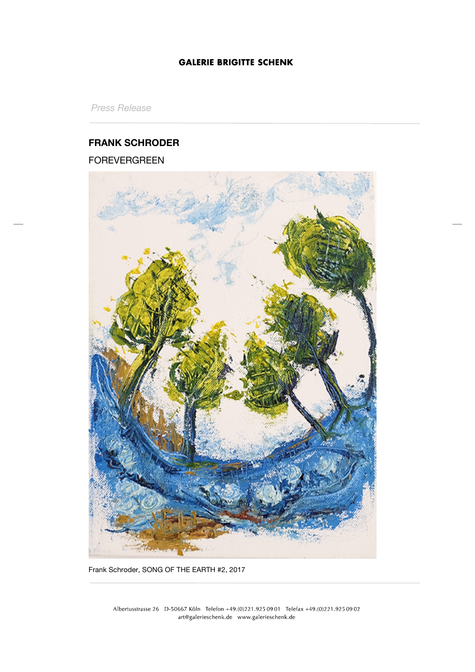## **GALERIE BRIGITTE SCHENK**

*Press Release*

# **FRANK SCHRODER**

FOREVERGREEN



Frank Schroder, SONG OF THE EARTH #2, 2017

Albertusstrasse 26 D-50667 Köln Telefon +49.(0)221.925 09 01 Telefax +49.(0)221.925 09 02 art@galerieschenk.de www.galerieschenk.de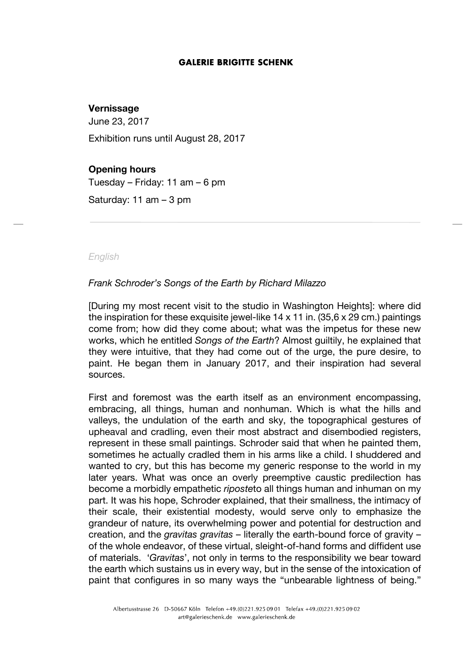#### **GALERIE BRIGITTE SCHENK**

## **Vernissage**

June 23, 2017

Exhibition runs until August 28, 2017

## **Opening hours**

Tuesday – Friday: 11 am – 6 pm

Saturday: 11 am – 3 pm

#### *English*

## *Frank Schroder's Songs of the Earth by Richard Milazzo*

[During my most recent visit to the studio in Washington Heights]: where did the inspiration for these exquisite jewel-like  $14 \times 11$  in. (35,6  $\times$  29 cm.) paintings come from; how did they come about; what was the impetus for these new works, which he entitled *Songs of the Earth*? Almost guiltily, he explained that they were intuitive, that they had come out of the urge, the pure desire, to paint. He began them in January 2017, and their inspiration had several sources.

First and foremost was the earth itself as an environment encompassing, embracing, all things, human and nonhuman. Which is what the hills and valleys, the undulation of the earth and sky, the topographical gestures of upheaval and cradling, even their most abstract and disembodied registers, represent in these small paintings. Schroder said that when he painted them, sometimes he actually cradled them in his arms like a child. I shuddered and wanted to cry, but this has become my generic response to the world in my later years. What was once an overly preemptive caustic predilection has become a morbidly empathetic *riposte*to all things human and inhuman on my part. It was his hope, Schroder explained, that their smallness, the intimacy of their scale, their existential modesty, would serve only to emphasize the grandeur of nature, its overwhelming power and potential for destruction and creation, and the *gravitas gravitas* – literally the earth-bound force of gravity – of the whole endeavor, of these virtual, sleight-of-hand forms and diffident use of materials. '*Gravitas*', not only in terms to the responsibility we bear toward the earth which sustains us in every way, but in the sense of the intoxication of paint that configures in so many ways the "unbearable lightness of being."